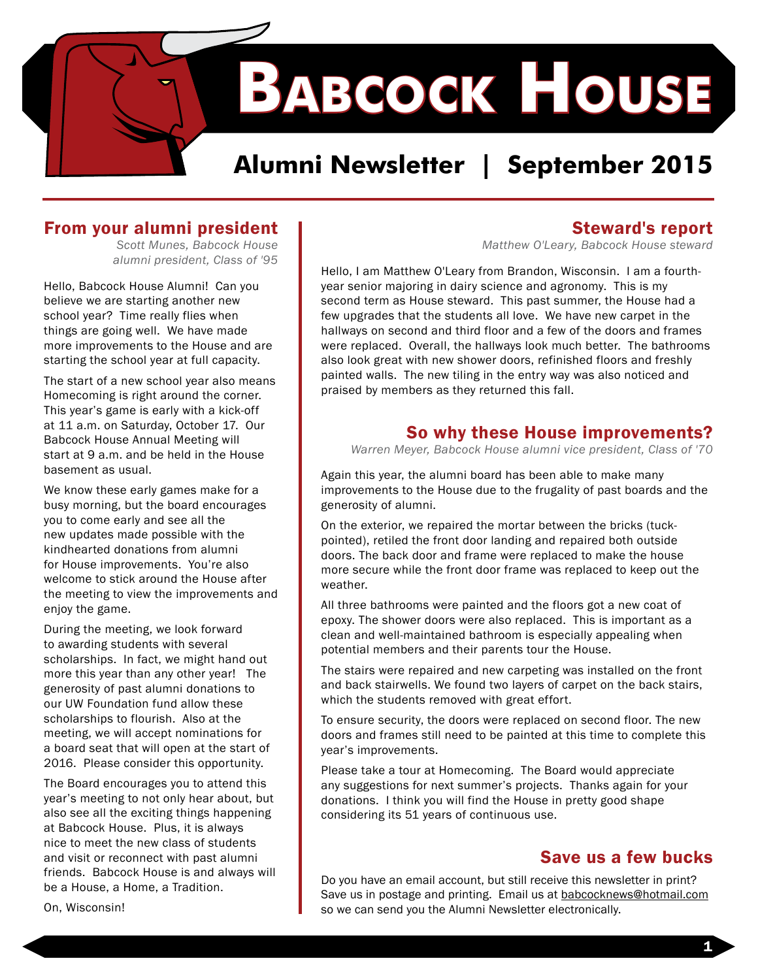**Babcock House**

### **Alumni Newsletter | September 2015**

#### From your alumni president

*Scott Munes, Babcock House alumni president, Class of '95* 

Hello, Babcock House Alumni! Can you believe we are starting another new school year? Time really flies when things are going well. We have made more improvements to the House and are starting the school year at full capacity.

The start of a new school year also means Homecoming is right around the corner. This year's game is early with a kick-off at 11 a.m. on Saturday, October 17. Our Babcock House Annual Meeting will start at 9 a.m. and be held in the House basement as usual.

We know these early games make for a busy morning, but the board encourages you to come early and see all the new updates made possible with the kindhearted donations from alumni for House improvements. You're also welcome to stick around the House after the meeting to view the improvements and enjoy the game.

During the meeting, we look forward to awarding students with several scholarships. In fact, we might hand out more this year than any other year! The generosity of past alumni donations to our UW Foundation fund allow these scholarships to flourish. Also at the meeting, we will accept nominations for a board seat that will open at the start of 2016. Please consider this opportunity.

The Board encourages you to attend this year's meeting to not only hear about, but also see all the exciting things happening at Babcock House. Plus, it is always nice to meet the new class of students and visit or reconnect with past alumni friends. Babcock House is and always will be a House, a Home, a Tradition.

#### Steward's report

*Matthew O'Leary, Babcock House steward*

Hello, I am Matthew O'Leary from Brandon, Wisconsin. I am a fourthyear senior majoring in dairy science and agronomy. This is my second term as House steward. This past summer, the House had a few upgrades that the students all love. We have new carpet in the hallways on second and third floor and a few of the doors and frames were replaced. Overall, the hallways look much better. The bathrooms also look great with new shower doors, refinished floors and freshly painted walls. The new tiling in the entry way was also noticed and praised by members as they returned this fall.

#### So why these House improvements?

*Warren Meyer, Babcock House alumni vice president, Class of '70* 

Again this year, the alumni board has been able to make many improvements to the House due to the frugality of past boards and the generosity of alumni.

On the exterior, we repaired the mortar between the bricks (tuckpointed), retiled the front door landing and repaired both outside doors. The back door and frame were replaced to make the house more secure while the front door frame was replaced to keep out the weather.

All three bathrooms were painted and the floors got a new coat of epoxy. The shower doors were also replaced. This is important as a clean and well-maintained bathroom is especially appealing when potential members and their parents tour the House.

The stairs were repaired and new carpeting was installed on the front and back stairwells. We found two layers of carpet on the back stairs, which the students removed with great effort.

To ensure security, the doors were replaced on second floor. The new doors and frames still need to be painted at this time to complete this year's improvements.

Please take a tour at Homecoming. The Board would appreciate any suggestions for next summer's projects. Thanks again for your donations. I think you will find the House in pretty good shape considering its 51 years of continuous use.

#### Save us a few bucks

Do you have an email account, but still receive this newsletter in print? Save us in postage and printing. Email us at babcocknews@hotmail.com so we can send you the Alumni Newsletter electronically.

On, Wisconsin!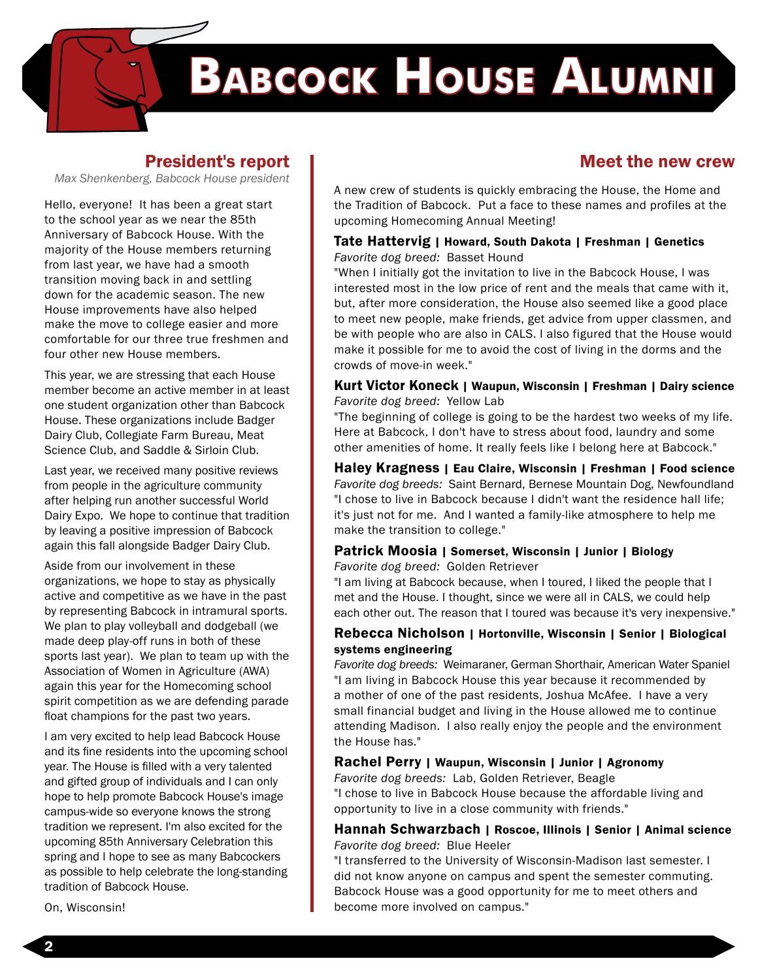# **Babcock House Alumni**

#### President's report

*Max Shenkenberg, Babcock House president* 

Hello, everyone! It has been a great start to the school year as we near the 85th Anniversary of Babcock House. With the majority of the House members returning from last year, we have had a smooth transition moving back in and settling down for the academic season. The new House improvements have also helped make the move to college easier and more comfortable for our three true freshmen and four other new House members.

This year, we are stressing that each House member become an active member in at least one student organization other than Babcock House. These organizations include Badger Dairy Club, Collegiate Farm Bureau, Meat Science Club, and Saddle & Sirloin Club.

Last year, we received many positive reviews from people in the agriculture community after helping run another successful World Dairy Expo. We hope to continue that tradition by leaving a positive impression of Babcock again this fall alongside Badger Dairy Club.

Aside from our involvement in these organizations, we hope to stay as physically active and competitive as we have in the past by representing Babcock in intramural sports. We plan to play volleyball and dodgeball (we made deep play-off runs in both of these sports last year). We plan to team up with the Association of Women in Agriculture (AWA) again this year for the Homecoming school spirit competition as we are defending parade float champions for the past two years.

I am very excited to help lead Babcock House and its fine residents into the upcoming school year. The House is filled with a very talented and gifted group of individuals and I can only hope to help promote Babcock House's image campus-wide so everyone knows the strong tradition we represent. I'm also excited for the upcoming 85th Anniversary Celebration this spring and I hope to see as many Babcockers as possible to help celebrate the long-standing tradition of Babcock House.

On, Wisconsin!

#### Meet the new crew

A new crew of students is quickly embracing the House, the Home and the Tradition of Babcock. Put a face to these names and profiles at the upcoming Homecoming Annual Meeting!

#### Tate Hattervig | Howard, South Dakota | Freshman | Genetics *Favorite dog breed:* Basset Hound

"When I initially got the invitation to live in the Babcock House, I was interested most in the low price of rent and the meals that came with it, but, after more consideration, the House also seemed like a good place to meet new people, make friends, get advice from upper classmen, and be with people who are also in CALS. I also figured that the House would make it possible for me to avoid the cost of living in the dorms and the crowds of move-in week."

#### Kurt Victor Koneck | Waupun, Wisconsin | Freshman | Dairy science *Favorite dog breed:* Yellow Lab

"The beginning of college is going to be the hardest two weeks of my life. Here at Babcock, I don't have to stress about food, laundry and some other amenities of home. It really feels like I belong here at Babcock."

Haley Kragness | Eau Claire, Wisconsin | Freshman | Food science *Favorite dog breeds:* Saint Bernard, Bernese Mountain Dog, Newfoundland "I chose to live in Babcock because I didn't want the residence hall life; it's just not for me. And I wanted a family-like atmosphere to help me make the transition to college."

#### Patrick Moosia | Somerset, Wisconsin | Junior | Biology *Favorite dog breed:* Golden Retriever

"I am living at Babcock because, when I toured, I liked the people that I met and the House. I thought, since we were all in CALS, we could help each other out. The reason that I toured was because it's very inexpensive."

#### Rebecca Nicholson | Hortonville, Wisconsin | Senior | Biological systems engineering

*Favorite dog breeds:* Weimaraner, German Shorthair, American Water Spaniel "I am living in Babcock House this year because it recommended by a mother of one of the past residents, Joshua McAfee. I have a very small financial budget and living in the House allowed me to continue attending Madison. I also really enjoy the people and the environment the House has."

#### Rachel Perry | Waupun, Wisconsin | Junior | Agronomy

*Favorite dog breeds:* Lab, Golden Retriever, Beagle "I chose to live in Babcock House because the affordable living and opportunity to live in a close community with friends."

#### Hannah Schwarzbach | Roscoe, Illinois | Senior | Animal science *Favorite dog breed:* Blue Heeler

"I transferred to the University of Wisconsin-Madison last semester. I did not know anyone on campus and spent the semester commuting. Babcock House was a good opportunity for me to meet others and become more involved on campus."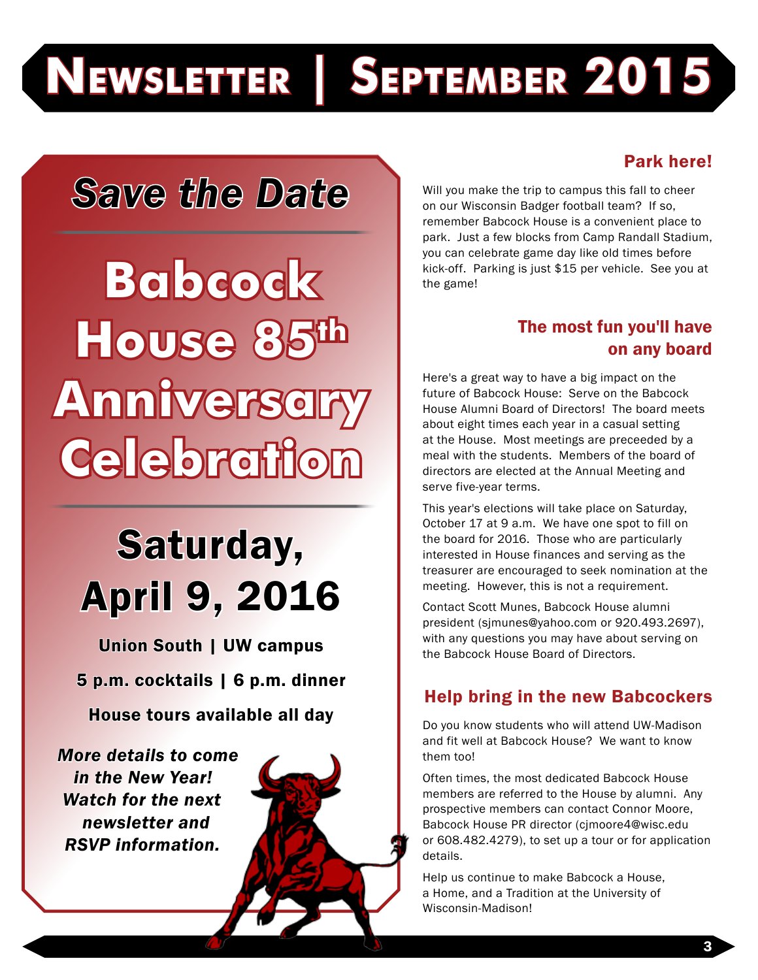# **Newsletter | September 2015**

## *Save the Date*

**Babcock House 85 Anniversary Celebration**

## Saturday, April 9, 2016

Union South | UW campus 5 p.m. cocktails | 6 p.m. dinner House tours available all day

*More details to come in the New Year! Watch for the next newsletter and RSVP information.*



#### Park here!

Will you make the trip to campus this fall to cheer on our Wisconsin Badger football team? If so, remember Babcock House is a convenient place to park. Just a few blocks from Camp Randall Stadium, you can celebrate game day like old times before kick-off. Parking is just \$15 per vehicle. See you at the game!

#### The most fun you'll have on any board

Here's a great way to have a big impact on the future of Babcock House: Serve on the Babcock House Alumni Board of Directors! The board meets about eight times each year in a casual setting at the House. Most meetings are preceeded by a meal with the students. Members of the board of directors are elected at the Annual Meeting and serve five-year terms.

This year's elections will take place on Saturday, October 17 at 9 a.m. We have one spot to fill on the board for 2016. Those who are particularly interested in House finances and serving as the treasurer are encouraged to seek nomination at the meeting. However, this is not a requirement.

Contact Scott Munes, Babcock House alumni president (sjmunes@yahoo.com or 920.493.2697), with any questions you may have about serving on the Babcock House Board of Directors.

#### Help bring in the new Babcockers

Do you know students who will attend UW-Madison and fit well at Babcock House? We want to know them too!

Often times, the most dedicated Babcock House members are referred to the House by alumni. Any prospective members can contact Connor Moore, Babcock House PR director (cjmoore4@wisc.edu or 608.482.4279), to set up a tour or for application details.

Help us continue to make Babcock a House, a Home, and a Tradition at the University of Wisconsin-Madison!